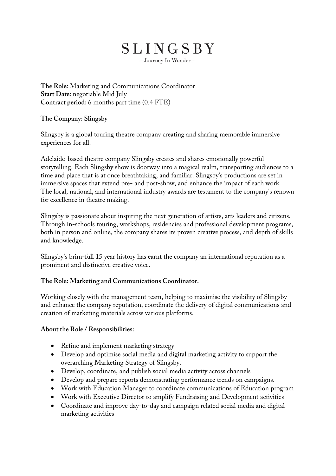# SLINGSBY

- Journey In Wonder -

**The Role:** Marketing and Communications Coordinator **Start Date:** negotiable Mid July **Contract period:** 6 months part time (0.4 FTE)

### **The Company: Slingsby**

Slingsby is a global touring theatre company creating and sharing memorable immersive experiences for all.

Adelaide-based theatre company Slingsby creates and shares emotionally powerful storytelling. Each Slingsby show is doorway into a magical realm, transporting audiences to a time and place that is at once breathtaking, and familiar. Slingsby's productions are set in immersive spaces that extend pre- and post-show, and enhance the impact of each work. The local, national, and international industry awards are testament to the company's renown for excellence in theatre making.

Slingsby is passionate about inspiring the next generation of artists, arts leaders and citizens. Through in-schools touring, workshops, residencies and professional development programs, both in person and online, the company shares its proven creative process, and depth of skills and knowledge.

Slingsby's brim-full 15 year history has earnt the company an international reputation as a prominent and distinctive creative voice.

## **The Role: Marketing and Communications Coordinator.**

Working closely with the management team, helping to maximise the visibility of Slingsby and enhance the company reputation, coordinate the delivery of digital communications and creation of marketing materials across various platforms.

#### **About the Role / Responsibilities:**

- Refine and implement marketing strategy
- Develop and optimise social media and digital marketing activity to support the overarching Marketing Strategy of Slingsby.
- Develop, coordinate, and publish social media activity across channels
- Develop and prepare reports demonstrating performance trends on campaigns.
- Work with Education Manager to coordinate communications of Education program
- Work with Executive Director to amplify Fundraising and Development activities
- Coordinate and improve day-to-day and campaign related social media and digital marketing activities